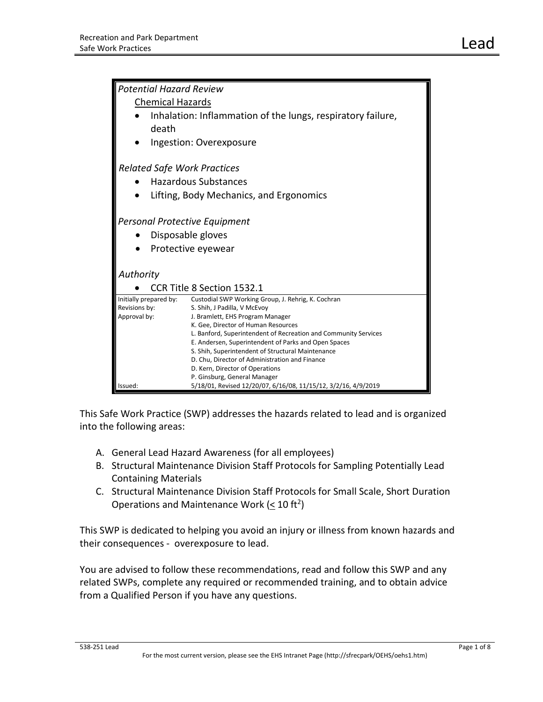| <b>Potential Hazard Review</b>          |                                                                 |
|-----------------------------------------|-----------------------------------------------------------------|
| <b>Chemical Hazards</b>                 |                                                                 |
|                                         | Inhalation: Inflammation of the lungs, respiratory failure,     |
| death                                   |                                                                 |
|                                         | Ingestion: Overexposure                                         |
| <b>Related Safe Work Practices</b>      |                                                                 |
|                                         |                                                                 |
|                                         | <b>Hazardous Substances</b>                                     |
| Lifting, Body Mechanics, and Ergonomics |                                                                 |
|                                         |                                                                 |
| Personal Protective Equipment           |                                                                 |
| Disposable gloves                       |                                                                 |
| Protective eyewear                      |                                                                 |
|                                         |                                                                 |
| Authority                               |                                                                 |
|                                         | <b>CCR Title 8 Section 1532.1</b>                               |
| Initially prepared by:                  | Custodial SWP Working Group, J. Rehrig, K. Cochran              |
| Revisions by:                           | S. Shih, J Padilla, V McEvoy                                    |
| Approval by:                            | J. Bramlett, EHS Program Manager                                |
|                                         | K. Gee, Director of Human Resources                             |
|                                         | L. Banford, Superintendent of Recreation and Community Services |
|                                         | E. Andersen, Superintendent of Parks and Open Spaces            |
|                                         | S. Shih, Superintendent of Structural Maintenance               |
|                                         | D. Chu, Director of Administration and Finance                  |
|                                         | D. Kern, Director of Operations                                 |
|                                         | P. Ginsburg, General Manager                                    |
| lssued:                                 | 5/18/01, Revised 12/20/07, 6/16/08, 11/15/12, 3/2/16, 4/9/2019  |

This Safe Work Practice (SWP) addresses the hazards related to lead and is organized into the following areas:

- A. General Lead Hazard Awareness (for all employees)
- B. Structural Maintenance Division Staff Protocols for Sampling Potentially Lead Containing Materials
- C. Structural Maintenance Division Staff Protocols for Small Scale, Short Duration Operations and Maintenance Work ( $\leq 10$  ft<sup>2</sup>)

This SWP is dedicated to helping you avoid an injury or illness from known hazards and their consequences - overexposure to lead.

You are advised to follow these recommendations, read and follow this SWP and any related SWPs, complete any required or recommended training, and to obtain advice from a Qualified Person if you have any questions.

## 538-251 Lead Page 1 of 8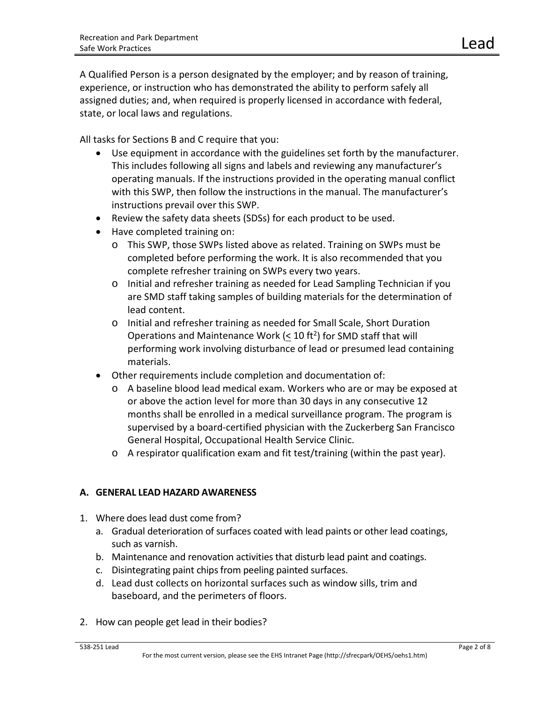A Qualified Person is a person designated by the employer; and by reason of training, experience, or instruction who has demonstrated the ability to perform safely all assigned duties; and, when required is properly licensed in accordance with federal, state, or local laws and regulations.

All tasks for Sections B and C require that you:

- Use equipment in accordance with the guidelines set forth by the manufacturer. This includes following all signs and labels and reviewing any manufacturer's operating manuals. If the instructions provided in the operating manual conflict with this SWP, then follow the instructions in the manual. The manufacturer's instructions prevail over this SWP.
- Review the safety data sheets (SDSs) for each product to be used.
- Have completed training on:
	- o This SWP, those SWPs listed above as related. Training on SWPs must be completed before performing the work. It is also recommended that you complete refresher training on SWPs every two years.
	- o Initial and refresher training as needed for Lead Sampling Technician if you are SMD staff taking samples of building materials for the determination of lead content.
	- o Initial and refresher training as needed for Small Scale, Short Duration Operations and Maintenance Work ( $<$  10 ft<sup>2</sup>) for SMD staff that will performing work involving disturbance of lead or presumed lead containing materials.
- Other requirements include completion and documentation of:
	- o A baseline blood lead medical exam. Workers who are or may be exposed at or above the action level for more than 30 days in any consecutive 12 months shall be enrolled in a medical surveillance program. The program is supervised by a board-certified physician with the Zuckerberg San Francisco General Hospital, Occupational Health Service Clinic.
	- o A respirator qualification exam and fit test/training (within the past year).

## **A. GENERAL LEAD HAZARD AWARENESS**

- 1. Where does lead dust come from?
	- a. Gradual deterioration of surfaces coated with lead paints or other lead coatings, such as varnish.
	- b. Maintenance and renovation activities that disturb lead paint and coatings.
	- c. Disintegrating paint chips from peeling painted surfaces.
	- d. Lead dust collects on horizontal surfaces such as window sills, trim and baseboard, and the perimeters of floors.
- 2. How can people get lead in their bodies?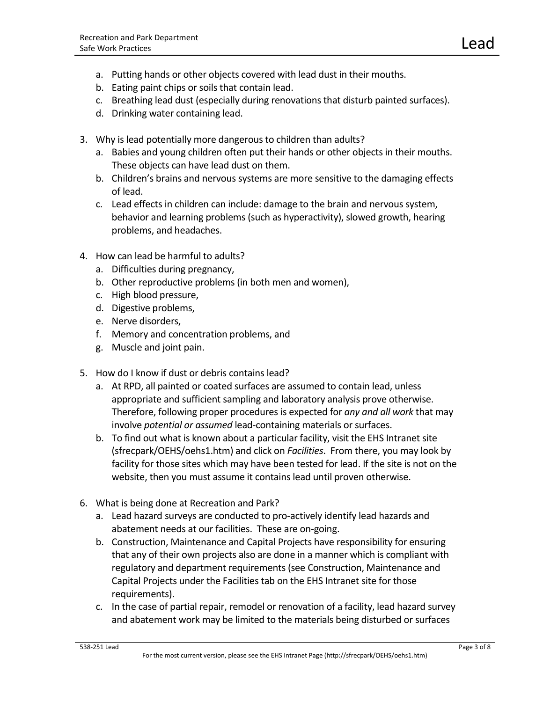- a. Putting hands or other objects covered with lead dust in their mouths.
- b. Eating paint chips or soils that contain lead.
- c. Breathing lead dust (especially during renovations that disturb painted surfaces).
- d. Drinking water containing lead.
- 3. Why is lead potentially more dangerous to children than adults?
	- a. Babies and young children often put their hands or other objects in their mouths. These objects can have lead dust on them.
	- b. Children's brains and nervous systems are more sensitive to the damaging effects of lead.
	- c. Lead effects in children can include: damage to the brain and nervous system, behavior and learning problems (such as hyperactivity), slowed growth, hearing problems, and headaches.
- 4. How can lead be harmful to adults?
	- a. Difficulties during pregnancy,
	- b. Other reproductive problems (in both men and women),
	- c. High blood pressure,
	- d. Digestive problems,
	- e. Nerve disorders,
	- f. Memory and concentration problems, and
	- g. Muscle and joint pain.
- 5. How do I know if dust or debris contains lead?
	- a. At RPD, all painted or coated surfaces are assumed to contain lead, unless appropriate and sufficient sampling and laboratory analysis prove otherwise. Therefore, following proper procedures is expected for *any and all work* that may involve *potential or assumed* lead-containing materials or surfaces.
	- b. To find out what is known about a particular facility, visit the EHS Intranet site (sfrecpark/OEHS/oehs1.htm) and click on *Facilities*. From there, you may look by facility for those sites which may have been tested for lead. If the site is not on the website, then you must assume it contains lead until proven otherwise.
- 6. What is being done at Recreation and Park?
	- a. Lead hazard surveys are conducted to pro-actively identify lead hazards and abatement needs at our facilities. These are on-going.
	- b. Construction, Maintenance and Capital Projects have responsibility for ensuring that any of their own projects also are done in a manner which is compliant with regulatory and department requirements (see Construction, Maintenance and Capital Projects under the Facilities tab on the EHS Intranet site for those requirements).
	- c. In the case of partial repair, remodel or renovation of a facility, lead hazard survey and abatement work may be limited to the materials being disturbed or surfaces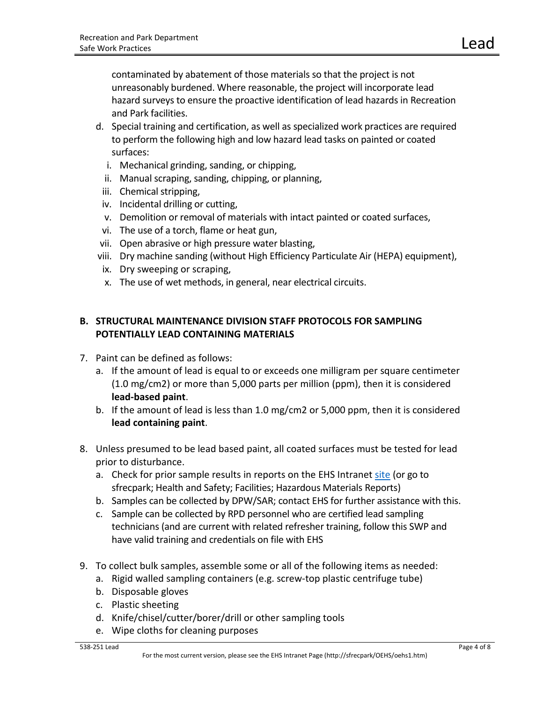contaminated by abatement of those materials so that the project is not unreasonably burdened. Where reasonable, the project will incorporate lead hazard surveys to ensure the proactive identification of lead hazards in Recreation and Park facilities.

- d. Special training and certification, as well as specialized work practices are required to perform the following high and low hazard lead tasks on painted or coated surfaces:
	- i. Mechanical grinding, sanding, or chipping,
	- ii. Manual scraping, sanding, chipping, or planning,
	- iii. Chemical stripping,
- iv. Incidental drilling or cutting,
- v. Demolition or removal of materials with intact painted or coated surfaces,
- vi. The use of a torch, flame or heat gun,
- vii. Open abrasive or high pressure water blasting,
- viii. Dry machine sanding (without High Efficiency Particulate Air (HEPA) equipment),
- ix. Dry sweeping or scraping,
- x. The use of wet methods, in general, near electrical circuits.

## **B. STRUCTURAL MAINTENANCE DIVISION STAFF PROTOCOLS FOR SAMPLING POTENTIALLY LEAD CONTAINING MATERIALS**

- 7. Paint can be defined as follows:
	- a. If the amount of lead is equal to or exceeds one milligram per square centimeter (1.0 mg/cm2) or more than 5,000 parts per million (ppm), then it is considered **lead-based paint**.
	- b. If the amount of lead is less than 1.0 mg/cm2 or 5,000 ppm, then it is considered **lead containing paint**.
- 8. Unless presumed to be lead based paint, all coated surfaces must be tested for lead prior to disturbance.
	- a. Check for prior sample results in reports on the EHS Intrane[t site](http://sfrecpark/?page_id=217) (or go to sfrecpark; Health and Safety; Facilities; Hazardous Materials Reports)
	- b. Samples can be collected by DPW/SAR; contact EHS for further assistance with this.
	- c. Sample can be collected by RPD personnel who are certified lead sampling technicians (and are current with related refresher training, follow this SWP and have valid training and credentials on file with EHS
- 9. To collect bulk samples, assemble some or all of the following items as needed:
	- a. Rigid walled sampling containers (e.g. screw-top plastic centrifuge tube)
	- b. Disposable gloves
	- c. Plastic sheeting
	- d. Knife/chisel/cutter/borer/drill or other sampling tools
	- e. Wipe cloths for cleaning purposes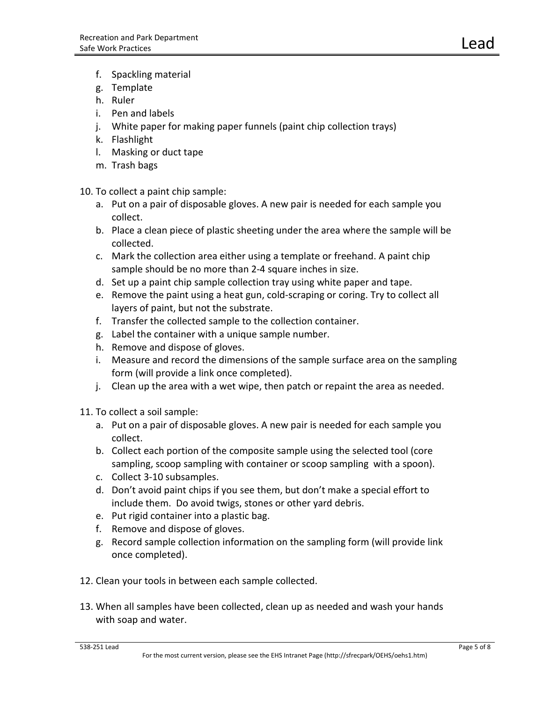- f. Spackling material
- g. Template
- h. Ruler
- i. Pen and labels
- j. White paper for making paper funnels (paint chip collection trays)
- k. Flashlight
- l. Masking or duct tape
- m. Trash bags

10. To collect a paint chip sample:

- a. Put on a pair of disposable gloves. A new pair is needed for each sample you collect.
- b. Place a clean piece of plastic sheeting under the area where the sample will be collected.
- c. Mark the collection area either using a template or freehand. A paint chip sample should be no more than 2-4 square inches in size.
- d. Set up a paint chip sample collection tray using white paper and tape.
- e. Remove the paint using a heat gun, cold-scraping or coring. Try to collect all layers of paint, but not the substrate.
- f. Transfer the collected sample to the collection container.
- g. Label the container with a unique sample number.
- h. Remove and dispose of gloves.
- i. Measure and record the dimensions of the sample surface area on the sampling form (will provide a link once completed).
- j. Clean up the area with a wet wipe, then patch or repaint the area as needed.
- 11. To collect a soil sample:
	- a. Put on a pair of disposable gloves. A new pair is needed for each sample you collect.
	- b. Collect each portion of the composite sample using the selected tool (core sampling, scoop sampling with container or scoop sampling with a spoon).
	- c. Collect 3-10 subsamples.
	- d. Don't avoid paint chips if you see them, but don't make a special effort to include them. Do avoid twigs, stones or other yard debris.
	- e. Put rigid container into a plastic bag.
	- f. Remove and dispose of gloves.
	- g. Record sample collection information on the sampling form (will provide link once completed).
- 12. Clean your tools in between each sample collected.
- 13. When all samples have been collected, clean up as needed and wash your hands with soap and water.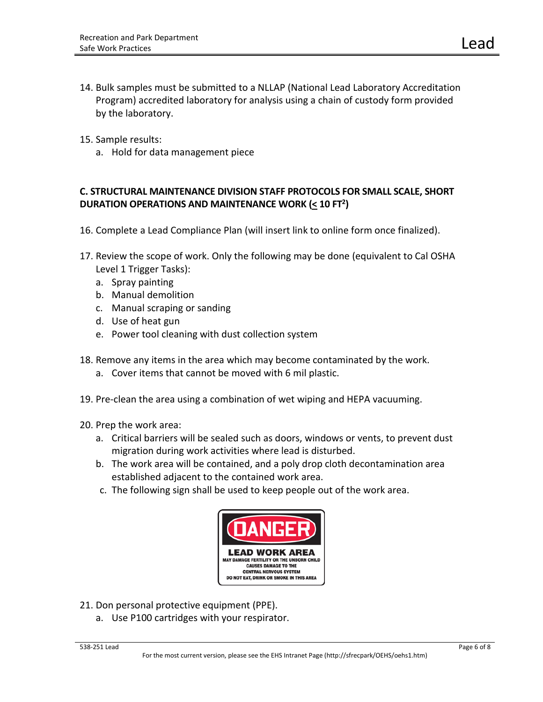- 14. Bulk samples must be submitted to a NLLAP (National Lead Laboratory Accreditation Program) accredited laboratory for analysis using a chain of custody form provided by the laboratory.
- 15. Sample results:
	- a. Hold for data management piece

## **C. STRUCTURAL MAINTENANCE DIVISION STAFF PROTOCOLS FOR SMALL SCALE, SHORT DURATION OPERATIONS AND MAINTENANCE WORK (< 10 FT2)**

- 16. Complete a Lead Compliance Plan (will insert link to online form once finalized).
- 17. Review the scope of work. Only the following may be done (equivalent to Cal OSHA Level 1 Trigger Tasks):
	- a. Spray painting
	- b. Manual demolition
	- c. Manual scraping or sanding
	- d. Use of heat gun
	- e. Power tool cleaning with dust collection system
- 18. Remove any items in the area which may become contaminated by the work.
	- a. Cover items that cannot be moved with 6 mil plastic.
- 19. Pre-clean the area using a combination of wet wiping and HEPA vacuuming.
- 20. Prep the work area:
	- a. Critical barriers will be sealed such as doors, windows or vents, to prevent dust migration during work activities where lead is disturbed.
	- b. The work area will be contained, and a poly drop cloth decontamination area established adjacent to the contained work area.
	- c. The following sign shall be used to keep people out of the work area.



- 21. Don personal protective equipment (PPE).
	- a. Use P100 cartridges with your respirator.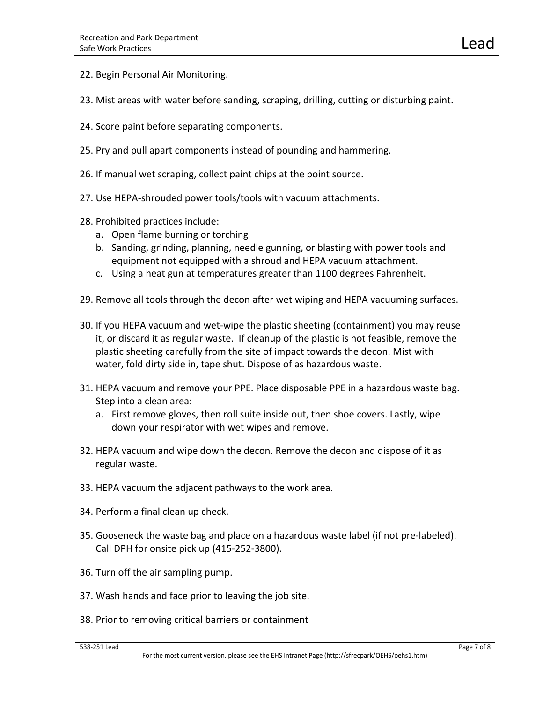- 22. Begin Personal Air Monitoring.
- 23. Mist areas with water before sanding, scraping, drilling, cutting or disturbing paint.
- 24. Score paint before separating components.
- 25. Pry and pull apart components instead of pounding and hammering.
- 26. If manual wet scraping, collect paint chips at the point source.
- 27. Use HEPA-shrouded power tools/tools with vacuum attachments.
- 28. Prohibited practices include:
	- a. Open flame burning or torching
	- b. Sanding, grinding, planning, needle gunning, or blasting with power tools and equipment not equipped with a shroud and HEPA vacuum attachment.
	- c. Using a heat gun at temperatures greater than 1100 degrees Fahrenheit.
- 29. Remove all tools through the decon after wet wiping and HEPA vacuuming surfaces.
- 30. If you HEPA vacuum and wet-wipe the plastic sheeting (containment) you may reuse it, or discard it as regular waste. If cleanup of the plastic is not feasible, remove the plastic sheeting carefully from the site of impact towards the decon. Mist with water, fold dirty side in, tape shut. Dispose of as hazardous waste.
- 31. HEPA vacuum and remove your PPE. Place disposable PPE in a hazardous waste bag. Step into a clean area:
	- a. First remove gloves, then roll suite inside out, then shoe covers. Lastly, wipe down your respirator with wet wipes and remove.
- 32. HEPA vacuum and wipe down the decon. Remove the decon and dispose of it as regular waste.
- 33. HEPA vacuum the adjacent pathways to the work area.
- 34. Perform a final clean up check.
- 35. Gooseneck the waste bag and place on a hazardous waste label (if not pre-labeled). Call DPH for onsite pick up (415-252-3800).
- 36. Turn off the air sampling pump.
- 37. Wash hands and face prior to leaving the job site.
- 38. Prior to removing critical barriers or containment